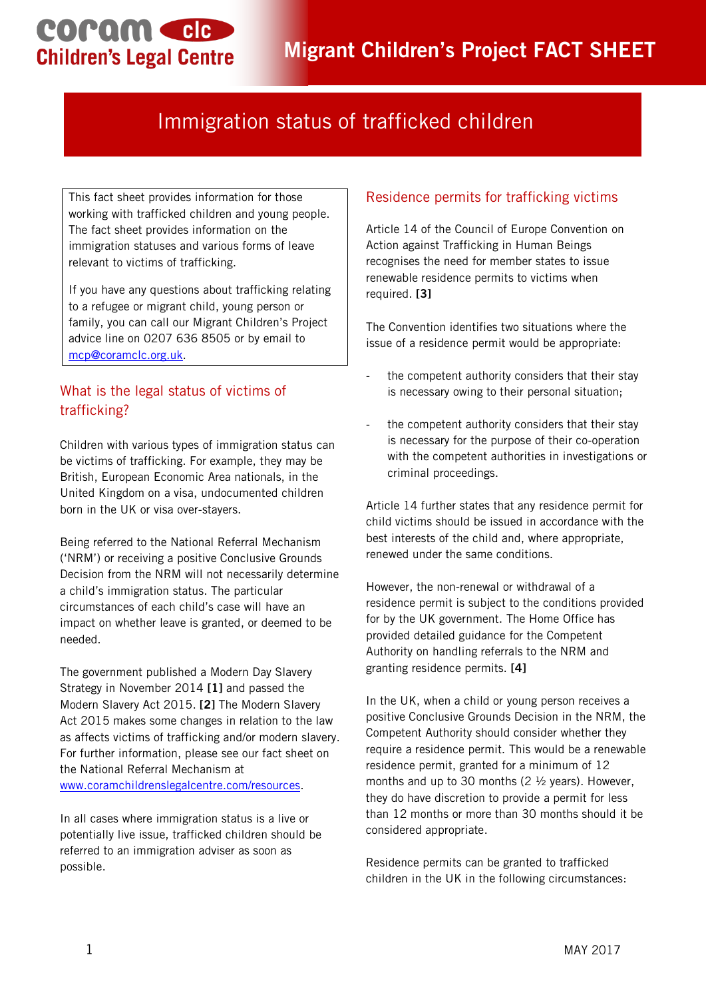COPAM CIC **Children's Legal Centre** 

# Immigration status of trafficked children

This fact sheet provides information for those working with trafficked children and young people. The fact sheet provides information on the immigration statuses and various forms of leave relevant to victims of trafficking.

If you have any questions about trafficking relating to a refugee or migrant child, young person or family, you can call our Migrant Children's Project advice line on 0207 636 8505 or by email to [mcp@coramclc.org.uk.](mailto:mcp@coramclc.org.uk)

# What is the legal status of victims of trafficking?

Children with various types of immigration status can be victims of trafficking. For example, they may be British, European Economic Area nationals, in the United Kingdom on a visa, undocumented children born in the UK or visa over-stayers.

Being referred to the National Referral Mechanism ('NRM') or receiving a positive Conclusive Grounds Decision from the NRM will not necessarily determine a child's immigration status. The particular circumstances of each child's case will have an impact on whether leave is granted, or deemed to be needed.

The government published a Modern Day Slavery Strategy in November 2014 **[1]** and passed the Modern Slavery Act 2015. **[2]** The Modern Slavery Act 2015 makes some changes in relation to the law as affects victims of trafficking and/or modern slavery. For further information, please see our fact sheet on the National Referral Mechanism at [www.coramchildrenslegalcentre.com/resources.](http://www.coramchildrenslegalcentre.com/resources)

In all cases where immigration status is a live or potentially live issue, trafficked children should be referred to an immigration adviser as soon as possible.

## Residence permits for trafficking victims

Article 14 of the Council of Europe Convention on Action against Trafficking in Human Beings recognises the need for member states to issue renewable residence permits to victims when required. **[3]**

The Convention identifies two situations where the issue of a residence permit would be appropriate:

- the competent authority considers that their stay is necessary owing to their personal situation;
- the competent authority considers that their stay is necessary for the purpose of their co-operation with the competent authorities in investigations or criminal proceedings.

Article 14 further states that any residence permit for child victims should be issued in accordance with the best interests of the child and, where appropriate, renewed under the same conditions.

However, the non-renewal or withdrawal of a residence permit is subject to the conditions provided for by the UK government. The Home Office has provided detailed guidance for the Competent Authority on handling referrals to the NRM and granting residence permits. **[4]**

In the UK, when a child or young person receives a positive Conclusive Grounds Decision in the NRM, the Competent Authority should consider whether they require a residence permit. This would be a renewable residence permit, granted for a minimum of 12 months and up to 30 months (2 ½ years). However, they do have discretion to provide a permit for less than 12 months or more than 30 months should it be considered appropriate.

Residence permits can be granted to trafficked children in the UK in the following circumstances: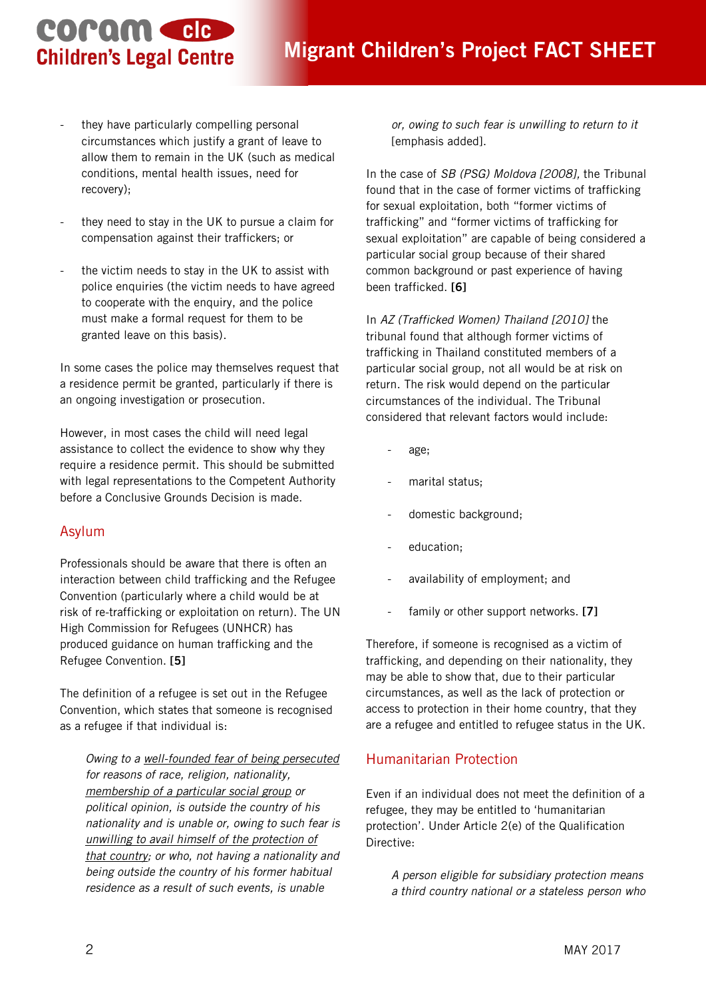# **COPOM CIC Children's Legal Centre**

- they have particularly compelling personal circumstances which justify a grant of leave to allow them to remain in the UK (such as medical conditions, mental health issues, need for recovery);
- they need to stay in the UK to pursue a claim for compensation against their traffickers; or
- the victim needs to stay in the UK to assist with police enquiries (the victim needs to have agreed to cooperate with the enquiry, and the police must make a formal request for them to be granted leave on this basis).

In some cases the police may themselves request that a residence permit be granted, particularly if there is an ongoing investigation or prosecution.

However, in most cases the child will need legal assistance to collect the evidence to show why they require a residence permit. This should be submitted with legal representations to the Competent Authority before a Conclusive Grounds Decision is made.

### Asylum

Professionals should be aware that there is often an interaction between child trafficking and the Refugee Convention (particularly where a child would be at risk of re-trafficking or exploitation on return). The UN High Commission for Refugees (UNHCR) has produced guidance on human trafficking and the Refugee Convention. **[5]**

The definition of a refugee is set out in the Refugee Convention, which states that someone is recognised as a refugee if that individual is:

*Owing to a well-founded fear of being persecuted for reasons of race, religion, nationality, membership of a particular social group or political opinion, is outside the country of his nationality and is unable or, owing to such fear is unwilling to avail himself of the protection of that country; or who, not having a nationality and being outside the country of his former habitual residence as a result of such events, is unable* 

*or, owing to such fear is unwilling to return to it* [emphasis added].

In the case of *SB (PSG) Moldova [2008],* the Tribunal found that in the case of former victims of trafficking for sexual exploitation, both "former victims of trafficking" and "former victims of trafficking for sexual exploitation" are capable of being considered a particular social group because of their shared common background or past experience of having been trafficked. **[6]**

In *AZ (Trafficked Women) Thailand [2010]* the tribunal found that although former victims of trafficking in Thailand constituted members of a particular social group, not all would be at risk on return. The risk would depend on the particular circumstances of the individual. The Tribunal considered that relevant factors would include:

- age;
- marital status;
- domestic background;
- education;
- availability of employment; and
- family or other support networks. [7]

Therefore, if someone is recognised as a victim of trafficking, and depending on their nationality, they may be able to show that, due to their particular circumstances, as well as the lack of protection or access to protection in their home country, that they are a refugee and entitled to refugee status in the UK.

### Humanitarian Protection

Even if an individual does not meet the definition of a refugee, they may be entitled to 'humanitarian protection'. Under Article 2(e) of the Qualification Directive:

*A person eligible for subsidiary protection means a third country national or a stateless person who*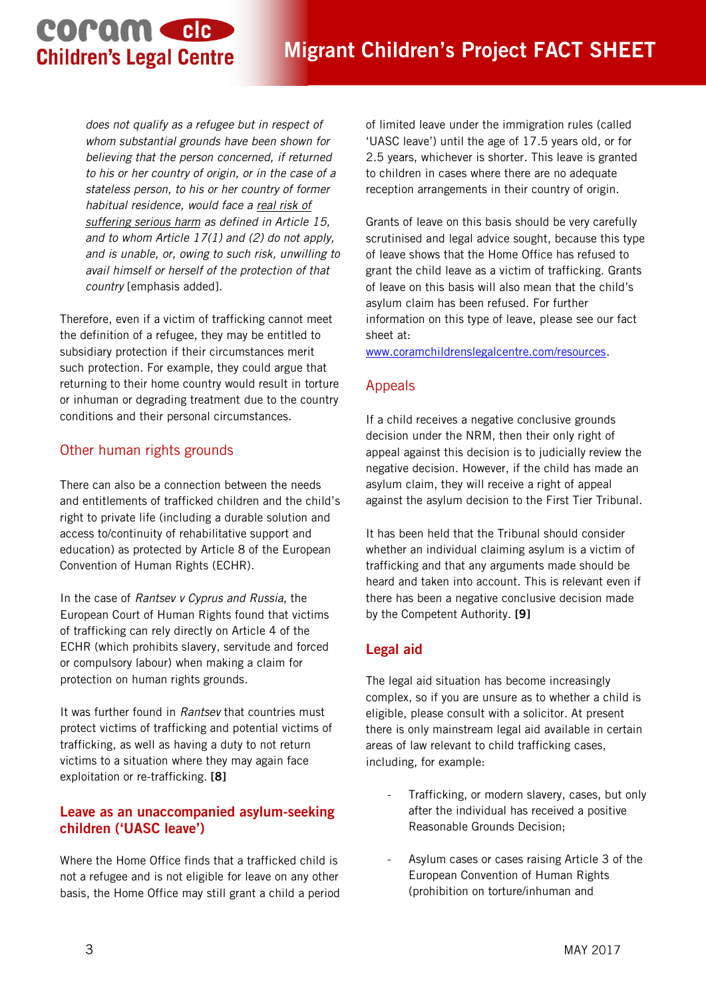# coram cle **Children's Legal Centre**

*does not qualify as a refugee but in respect of whom substantial grounds have been shown for believing that the person concerned, if returned to his or her country of origin, or in the case of a stateless person, to his or her country of former habitual residence, would face a real risk of suffering serious harm as defined in Article 15, and to whom Article 17(1) and (2) do not apply, and is unable, or, owing to such risk, unwilling to avail himself or herself of the protection of that country* [emphasis added].

Therefore, even if a victim of trafficking cannot meet the definition of a refugee, they may be entitled to subsidiary protection if their circumstances merit such protection. For example, they could argue that returning to their home country would result in torture or inhuman or degrading treatment due to the country conditions and their personal circumstances.

#### Other human rights grounds

There can also be a connection between the needs and entitlements of trafficked children and the child's right to private life (including a durable solution and access to/continuity of rehabilitative support and education) as protected by Article 8 of the European Convention of Human Rights (ECHR).

In the case of *Rantsev v Cyprus and Russia*, the European Court of Human Rights found that victims of trafficking can rely directly on Article 4 of the ECHR (which prohibits slavery, servitude and forced or compulsory labour) when making a claim for protection on human rights grounds.

It was further found in *Rantsev* that countries must protect victims of trafficking and potential victims of trafficking, as well as having a duty to not return victims to a situation where they may again face exploitation or re-trafficking. **[8]**

#### **Leave as an unaccompanied asylum-seeking children ('UASC leave')**

Where the Home Office finds that a trafficked child is not a refugee and is not eligible for leave on any other basis, the Home Office may still grant a child a period of limited leave under the immigration rules (called 'UASC leave') until the age of 17.5 years old, or for 2.5 years, whichever is shorter. This leave is granted to children in cases where there are no adequate reception arrangements in their country of origin.

Grants of leave on this basis should be very carefully scrutinised and legal advice sought, because this type of leave shows that the Home Office has refused to grant the child leave as a victim of trafficking. Grants of leave on this basis will also mean that the child's asylum claim has been refused. For further information on this type of leave, please see our fact sheet at:

[www.coramchildrenslegalcentre.com/resources.](http://www.coramchildrenslegalcentre.com/resources)

## Appeals

If a child receives a negative conclusive grounds decision under the NRM, then their only right of appeal against this decision is to judicially review the negative decision. However, if the child has made an asylum claim, they will receive a right of appeal against the asylum decision to the First Tier Tribunal.

It has been held that the Tribunal should consider whether an individual claiming asylum is a victim of trafficking and that any arguments made should be heard and taken into account. This is relevant even if there has been a negative conclusive decision made by the Competent Authority. **[9]**

# **Legal aid**

The legal aid situation has become increasingly complex, so if you are unsure as to whether a child is eligible, please consult with a solicitor. At present there is only mainstream legal aid available in certain areas of law relevant to child trafficking cases, including, for example:

- Trafficking, or modern slavery, cases, but only after the individual has received a positive Reasonable Grounds Decision;
- Asylum cases or cases raising Article 3 of the European Convention of Human Rights (prohibition on torture/inhuman and